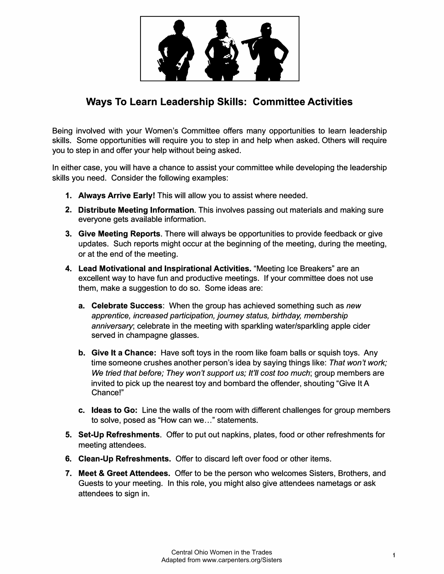

## **Ways To Learn Leadership Skills: Committee Activities**

Being involved with your Women's Committee offers many opportunities to learn leadership skills. Some opportunities will require you to step in and help when asked. Others will require you to step in and offer your help without being asked.

In either case, you will have a chance to assist your committee while developing the leadership skills you need. Consider the following examples:

- **1. Always Arrive Early!** This will allow you to assist where needed.
- **2. Distribute Meeting Information.** This involves passing out materials and making sure everyone gets available information.
- **3. Give Meeting Reports.** There will always be opportunities to provide feedback or give updates. Such reports might occur at the beginning of the meeting, during the meeting, or at the end of the meeting.
- **4. Lead Motivational and Inspirational Activities.** "Meeting Ice Breakers" are an excellent way to have fun and productive meetings. If your committee does not use them, make a suggestion to do so. Some ideas are:
	- **a. Celebrate Success:** When the group has achieved something such as *new apprentice, increased participation, journey status, birthday, membership anniversary;* celebrate in the meeting with sparkling water/sparkling apple cider served in champagne glasses.
	- **b. Give It a Chance:** Have soft toys in the room like foam balls or squish toys. Any time someone crushes another person's idea by saying things like: *That won't work;* We tried that before; They won't support us; It'll cost too much; group members are invited to pick up the nearest toy and bombard the offender, shouting "Give It A Chance!"
	- **c. Ideas to Go:** Line the walls of the room with different challenges for group members to solve, posed as "How can we ... " statements.
- **5. Set-Up Refreshments.** Offer to put out napkins, plates, food or other refreshments for meeting attendees.
- **6. Clean-Up Refreshments.** Offer to discard left over food or other items.
- **7. Meet & Greet Attendees.** Offer to be the person who welcomes Sisters, Brothers, and Guests to your meeting. In this role, you might also give attendees nametags or ask attendees to sign in.